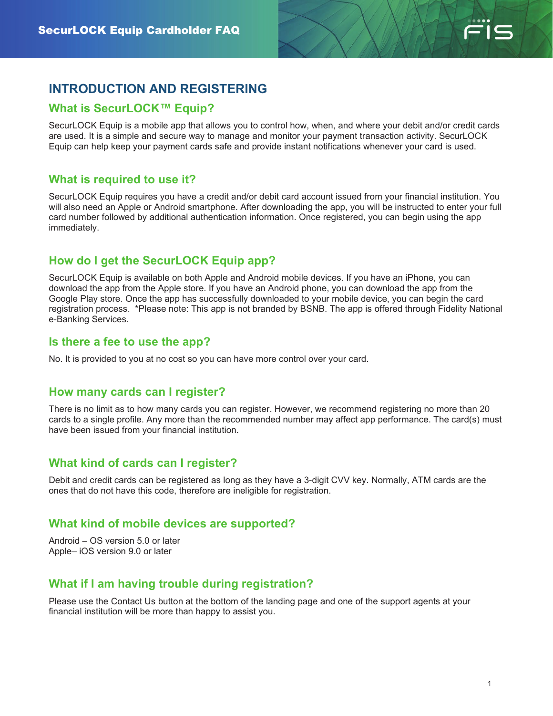

# **INTRODUCTION AND REGISTERING**

# **What is SecurLOCK™ Equip?**

SecurLOCK Equip is a mobile app that allows you to control how, when, and where your debit and/or credit cards are used. It is a simple and secure way to manage and monitor your payment transaction activity. SecurLOCK Equip can help keep your payment cards safe and provide instant notifications whenever your card is used.

## **What is required to use it?**

SecurLOCK Equip requires you have a credit and/or debit card account issued from your financial institution. You will also need an Apple or Android smartphone. After downloading the app, you will be instructed to enter your full card number followed by additional authentication information. Once registered, you can begin using the app immediately.

# **How do I get the SecurLOCK Equip app?**

SecurLOCK Equip is available on both Apple and Android mobile devices. If you have an iPhone, you can download the app from the Apple store. If you have an Android phone, you can download the app from the Google Play store. Once the app has successfully downloaded to your mobile device, you can begin the card registration process. \*Please note: This app is not branded by BSNB. The app is offered through Fidelity National e-Banking Services.

## **Is there a fee to use the app?**

No. It is provided to you at no cost so you can have more control over your card.

#### **How many cards can I register?**

There is no limit as to how many cards you can register. However, we recommend registering no more than 20 cards to a single profile. Any more than the recommended number may affect app performance. The card(s) must have been issued from your financial institution.

## **What kind of cards can I register?**

Debit and credit cards can be registered as long as they have a 3-digit CVV key. Normally, ATM cards are the ones that do not have this code, therefore are ineligible for registration.

## **What kind of mobile devices are supported?**

Android – OS version 5.0 or later Apple– iOS version 9.0 or later

# **What if I am having trouble during registration?**

Please use the Contact Us button at the bottom of the landing page and one of the support agents at your financial institution will be more than happy to assist you.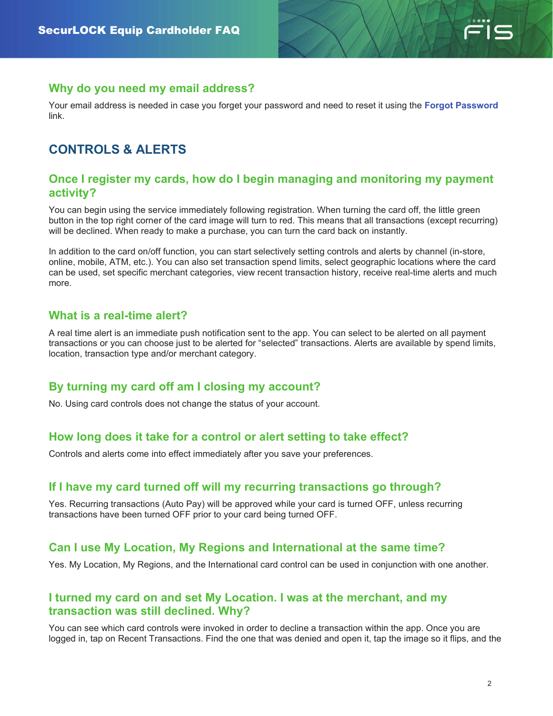

#### **Why do you need my email address?**

Your email address is needed in case you forget your password and need to reset it using the **Forgot Password** link.

# **CONTROLS & ALERTS**

#### **Once I register my cards, how do I begin managing and monitoring my payment activity?**

You can begin using the service immediately following registration. When turning the card off, the little green button in the top right corner of the card image will turn to red. This means that all transactions (except recurring) will be declined. When ready to make a purchase, you can turn the card back on instantly.

In addition to the card on/off function, you can start selectively setting controls and alerts by channel (in-store, online, mobile, ATM, etc.). You can also set transaction spend limits, select geographic locations where the card can be used, set specific merchant categories, view recent transaction history, receive real-time alerts and much more.

#### **What is a real-time alert?**

A real time alert is an immediate push notification sent to the app. You can select to be alerted on all payment transactions or you can choose just to be alerted for "selected" transactions. Alerts are available by spend limits, location, transaction type and/or merchant category.

## **By turning my card off am I closing my account?**

No. Using card controls does not change the status of your account.

## **How long does it take for a control or alert setting to take effect?**

Controls and alerts come into effect immediately after you save your preferences.

#### **If I have my card turned off will my recurring transactions go through?**

Yes. Recurring transactions (Auto Pay) will be approved while your card is turned OFF, unless recurring transactions have been turned OFF prior to your card being turned OFF.

#### **Can I use My Location, My Regions and International at the same time?**

Yes. My Location, My Regions, and the International card control can be used in conjunction with one another.

#### **I turned my card on and set My Location. I was at the merchant, and my transaction was still declined. Why?**

You can see which card controls were invoked in order to decline a transaction within the app. Once you are logged in, tap on Recent Transactions. Find the one that was denied and open it, tap the image so it flips, and the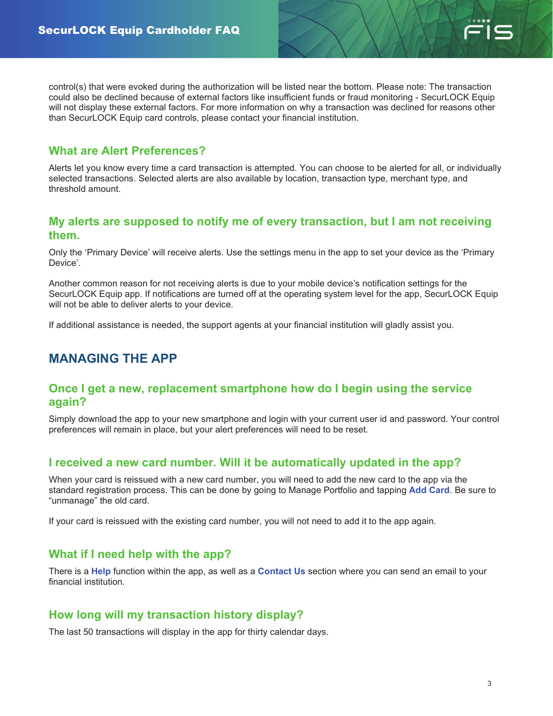

control(s) that were evoked during the authorization will be listed near the bottom. Please note: The transaction could also be declined because of external factors like insufficient funds or fraud monitoring - SecurLOCK Equip will not display these external factors. For more information on why a transaction was declined for reasons other than SecurLOCK Equip card controls, please contact your financial institution.

# **What are Alert Preferences?**

Alerts let you know every time a card transaction is attempted. You can choose to be alerted for all, or individually selected transactions. Selected alerts are also available by location, transaction type, merchant type, and threshold amount.

#### **My alerts are supposed to notify me of every transaction, but I am not receiving them.**

Only the 'Primary Device' will receive alerts. Use the settings menu in the app to set your device as the 'Primary Device'.

Another common reason for not receiving alerts is due to your mobile device's notification settings for the SecurLOCK Equip app. If notifications are turned off at the operating system level for the app, SecurLOCK Equip will not be able to deliver alerts to your device.

If additional assistance is needed, the support agents at your financial institution will gladly assist you.

# **MANAGING THE APP**

#### **Once I get a new, replacement smartphone how do I begin using the service again?**

Simply download the app to your new smartphone and login with your current user id and password. Your control preferences will remain in place, but your alert preferences will need to be reset.

## **I received a new card number. Will it be automatically updated in the app?**

When your card is reissued with a new card number, you will need to add the new card to the app via the standard registration process. This can be done by going to Manage Portfolio and tapping **Add Card**. Be sure to "unmanage" the old card.

If your card is reissued with the existing card number, you will not need to add it to the app again.

## **What if I need help with the app?**

There is a **Help** function within the app, as well as a **Contact Us** section where you can send an email to your financial institution.

# **How long will my transaction history display?**

The last 50 transactions will display in the app for thirty calendar days.